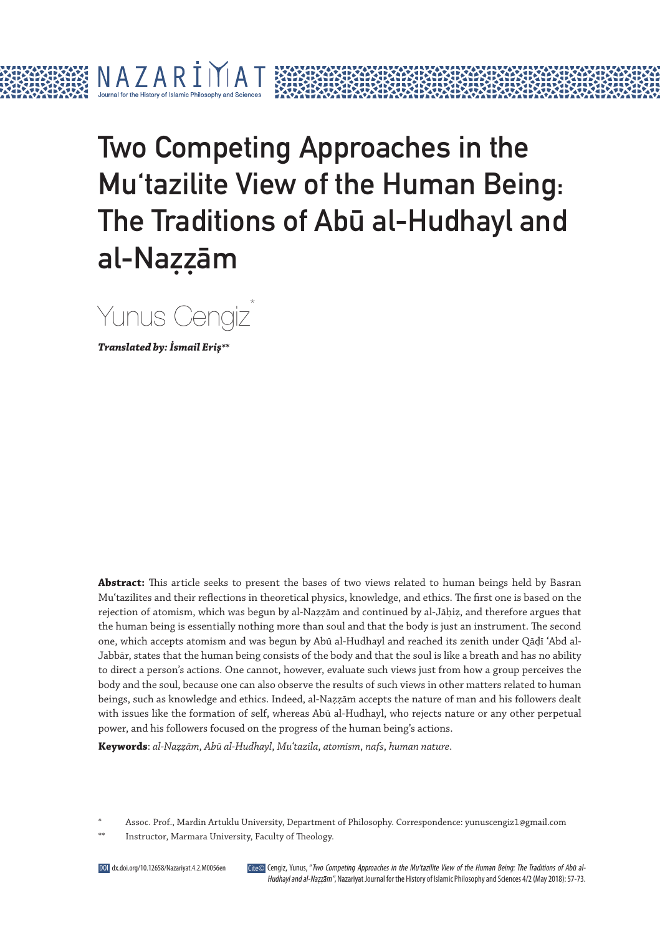# Two Competing Approaches in the Mu'tazilite View of the Human Being: The Traditions of Abu al-Hudhayl and al-Nazzām

Yunus Cengiz\*

**Translated by: İsmail Eriş\*\***

N A 7 A R T

 $\mathbf{I}$  $\mathbf{I}$ 

**Abstract:** This article seeks to present the bases of two views related to human beings held by Basran Muʿtazilites and their reflections in theoretical physics, knowledge, and ethics. The first one is based on the rejection of atomism, which was begun by al-Naẓẓām and continued by al-Jāḥiẓ, and therefore argues that the human being is essentially nothing more than soul and that the body is just an instrument. The second one, which accepts atomism and was begun by Abū al-Hudhayl and reached its zenith under Qāḍī ʿAbd al-Jabbār, states that the human being consists of the body and that the soul is like a breath and has no ability to direct a person's actions. One cannot, however, evaluate such views just from how a group perceives the body and the soul, because one can also observe the results of such views in other matters related to human beings, such as knowledge and ethics. Indeed, al-Naẓẓām accepts the nature of man and his followers dealt with issues like the formation of self, whereas Abū al-Hudhayl, who rejects nature or any other perpetual power, and his followers focused on the progress of the human being's actions.

**Keywords**: *al-Naẓẓām*, *Abū al-Hudhayl*, *Muʿtazila*, *atomism*, *nafs*, *human nature*.

\* Assoc. Prof., Mardin Artuklu University, Department of Philosophy. Correspondence: yunuscengiz1@gmail.com

Instructor, Marmara University, Faculty of Theology.

Cite© Cengiz, Yunus, "Two Competing Approaches in the Mu'tazilite View of the Human Being: The Traditions of Abū al-Hudhayl and al-Nazzam", Nazariyat Journal for the History of Islamic Philosophy and Sciences 4/2 (May 2018): 57-73.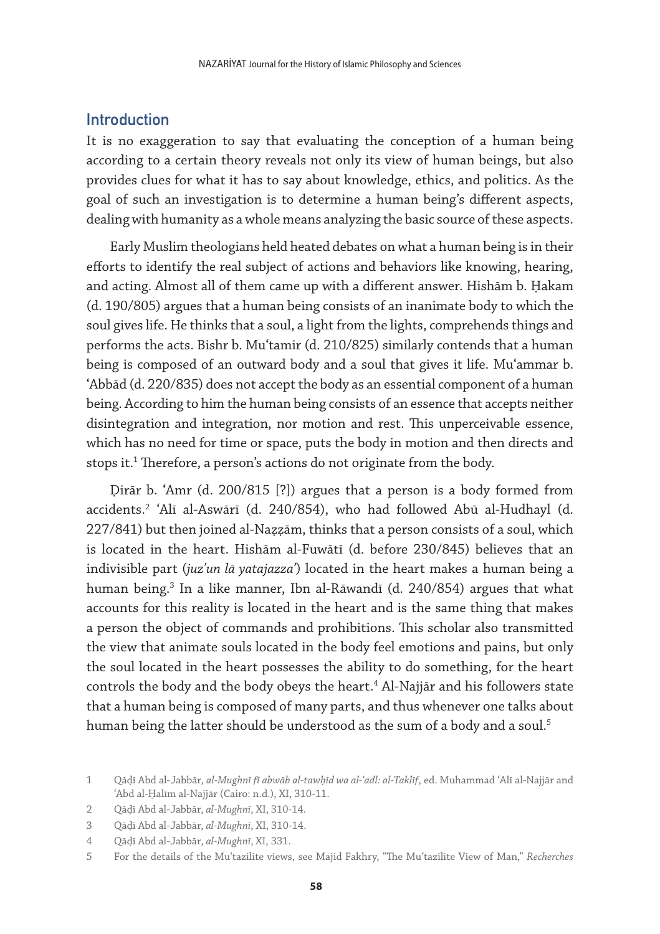### **Introduction**

It is no exaggeration to say that evaluating the conception of a human being according to a certain theory reveals not only its view of human beings, but also provides clues for what it has to say about knowledge, ethics, and politics. As the goal of such an investigation is to determine a human being's different aspects, dealing with humanity as a whole means analyzing the basic source of these aspects.

Early Muslim theologians held heated debates on what a human being is in their efforts to identify the real subject of actions and behaviors like knowing, hearing, and acting. Almost all of them came up with a different answer. Hishām b. Ḥakam (d. 190/805) argues that a human being consists of an inanimate body to which the soul gives life. He thinks that a soul, a light from the lights, comprehends things and performs the acts. Bishr b. Muʿtamir (d. 210/825) similarly contends that a human being is composed of an outward body and a soul that gives it life. Muʿammar b. ʿAbbād (d. 220/835) does not accept the body as an essential component of a human being. According to him the human being consists of an essence that accepts neither disintegration and integration, nor motion and rest. This unperceivable essence, which has no need for time or space, puts the body in motion and then directs and stops it.<sup>1</sup> Therefore, a person's actions do not originate from the body.

Ḍirār b. ʿAmr (d. 200/815 [?]) argues that a person is a body formed from accidents.2 ʿAlī al-Aswārī (d. 240/854), who had followed Abū al-Hudhayl (d. 227/841) but then joined al-Naẓẓām, thinks that a person consists of a soul, which is located in the heart. Hishām al-Fuwātī (d. before 230/845) believes that an indivisible part (*juzʾun lā yatajazzaʾ*) located in the heart makes a human being a human being.3 In a like manner, Ibn al-Rāwandī (d. 240/854) argues that what accounts for this reality is located in the heart and is the same thing that makes a person the object of commands and prohibitions. This scholar also transmitted the view that animate souls located in the body feel emotions and pains, but only the soul located in the heart possesses the ability to do something, for the heart controls the body and the body obeys the heart.<sup>4</sup> Al-Najjār and his followers state that a human being is composed of many parts, and thus whenever one talks about human being the latter should be understood as the sum of a body and a soul.<sup>5</sup>

<sup>1</sup> Qāḍī Abd al-Jabbār, *al-Mughnī fī abwāb al-tawḥīd wa al-ʿadl: al-Taklīf*, ed. Muhammad ʿAlī al-Najjār and ʿAbd al-Ḥalīm al-Najjār (Cairo: n.d.), XI, 310-11.

<sup>2</sup> Qāḍī Abd al-Jabbār, *al-Mughnī*, XI, 310-14.

<sup>3</sup> Qāḍī Abd al-Jabbār, *al-Mughnī*, XI, 310-14.

<sup>4</sup> Qāḍī Abd al-Jabbār, *al-Mughnī*, XI, 331.

<sup>5</sup> For the details of the Muʿtazilite views, see Majid Fakhry, "The Muʿtazilite View of Man," *Recherches*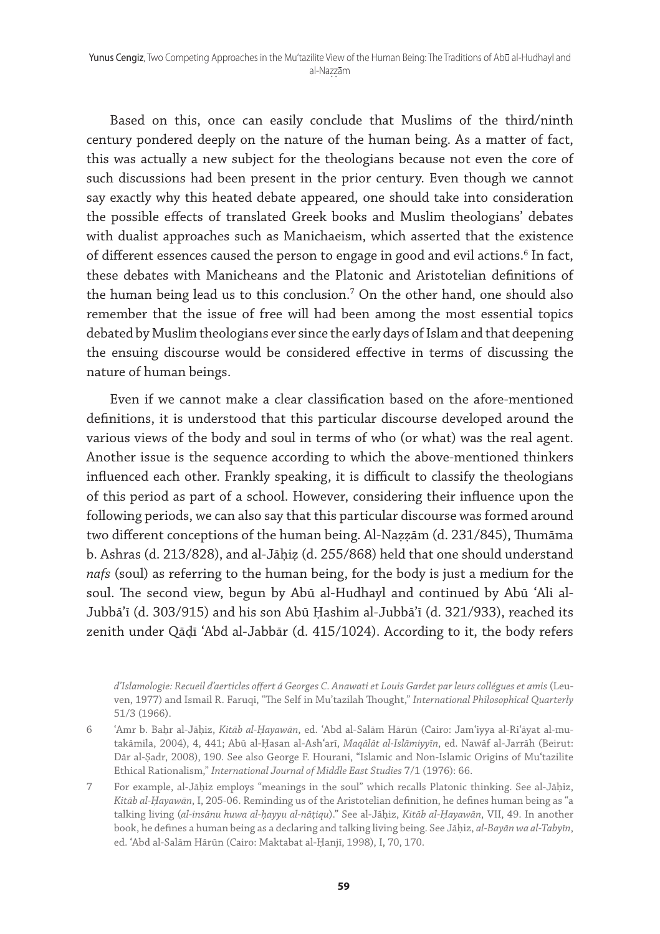Based on this, once can easily conclude that Muslims of the third/ninth century pondered deeply on the nature of the human being. As a matter of fact, this was actually a new subject for the theologians because not even the core of such discussions had been present in the prior century. Even though we cannot say exactly why this heated debate appeared, one should take into consideration the possible effects of translated Greek books and Muslim theologians' debates with dualist approaches such as Manichaeism, which asserted that the existence of different essences caused the person to engage in good and evil actions.<sup>6</sup> In fact, these debates with Manicheans and the Platonic and Aristotelian definitions of the human being lead us to this conclusion.7 On the other hand, one should also remember that the issue of free will had been among the most essential topics debated by Muslim theologians ever since the early days of Islam and that deepening the ensuing discourse would be considered effective in terms of discussing the nature of human beings.

Even if we cannot make a clear classification based on the afore-mentioned definitions, it is understood that this particular discourse developed around the various views of the body and soul in terms of who (or what) was the real agent. Another issue is the sequence according to which the above-mentioned thinkers influenced each other. Frankly speaking, it is difficult to classify the theologians of this period as part of a school. However, considering their influence upon the following periods, we can also say that this particular discourse was formed around two different conceptions of the human being. Al-Naẓẓām (d. 231/845), Thumāma b. Ashras (d. 213/828), and al-Jāḥiẓ (d. 255/868) held that one should understand *nafs* (soul) as referring to the human being, for the body is just a medium for the soul. The second view, begun by Abū al-Hudhayl and continued by Abū ʿAli al-Jubbāʾī (d. 303/915) and his son Abū Ḥashim al-Jubbāʾī (d. 321/933), reached its zenith under Qāḍī ʿAbd al-Jabbār (d. 415/1024). According to it, the body refers

*d'Islamologie: Recueil d'aerticles offert á Georges C. Anawati et Louis Gardet par leurs collégues et amis* (Leuven, 1977) and Ismail R. Faruqi, "The Self in Mu'tazilah Thought," *International Philosophical Quarterly* 51/3 (1966).

- 6 ʿAmr b. Baḥr al-Jāḥiz, *Kitāb al-Ḥayawān*, ed. ʿAbd al-Salām Hārūn (Cairo: Jamʿiyya al-Riʿāyat al-mutakāmila, 2004), 4, 441; Abū al-Ḥasan al-Ashʿarī, *Maqālāt al-Islāmiyyīn*, ed. Nawāf al-Jarrāh (Beirut: Dār al-Ṣadr, 2008), 190. See also George F. Hourani, "Islamic and Non-Islamic Origins of Muʿtazilite Ethical Rationalism," *International Journal of Middle East Studies* 7/1 (1976): 66.
- 7 For example, al-Jāḥiz employs "meanings in the soul" which recalls Platonic thinking. See al-Jāḥiz, *Kitāb al-Ḥayawān*, I, 205-06. Reminding us of the Aristotelian definition, he defines human being as "a talking living (*al-insānu huwa al-ḥayyu al-nāṭiqu*)." See al-Jāḥiz, *Kitāb al-Ḥayawān*, VII, 49. In another book, he defines a human being as a declaring and talking living being. See Jāḥiz, *al-Bayān wa al-Tabyīn*, ed. ʿAbd al-Salām Hārūn (Cairo: Maktabat al-Ḥanjī, 1998), I, 70, 170.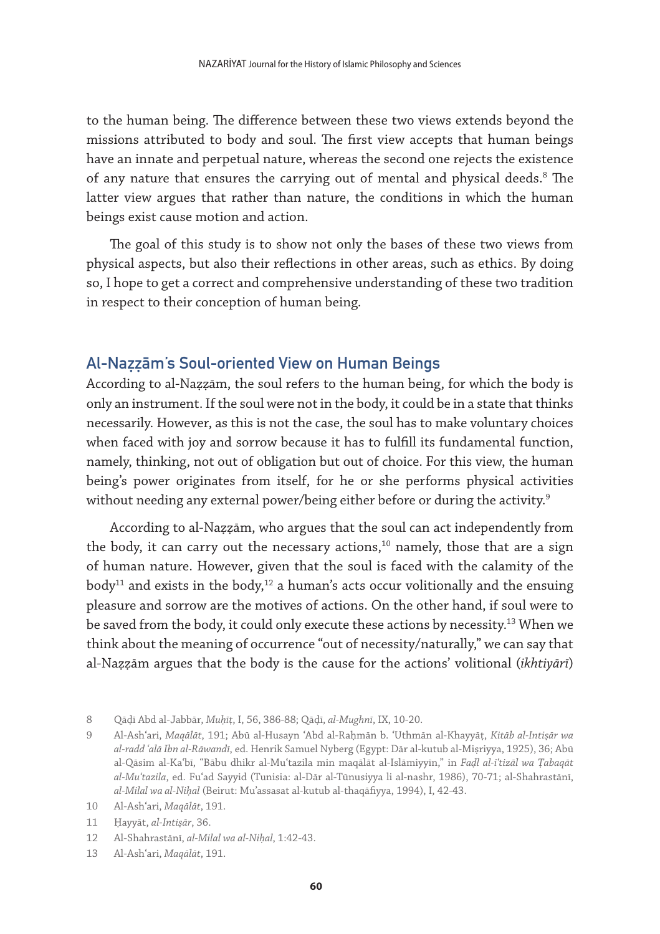to the human being. The difference between these two views extends beyond the missions attributed to body and soul. The first view accepts that human beings have an innate and perpetual nature, whereas the second one rejects the existence of any nature that ensures the carrying out of mental and physical deeds.<sup>8</sup> The latter view argues that rather than nature, the conditions in which the human beings exist cause motion and action.

The goal of this study is to show not only the bases of these two views from physical aspects, but also their reflections in other areas, such as ethics. By doing so, I hope to get a correct and comprehensive understanding of these two tradition in respect to their conception of human being.

#### Al-Naẓẓām's Soul-oriented View on Human Beings

According to al-Naẓẓām, the soul refers to the human being, for which the body is only an instrument. If the soul were not in the body, it could be in a state that thinks necessarily. However, as this is not the case, the soul has to make voluntary choices when faced with joy and sorrow because it has to fulfill its fundamental function, namely, thinking, not out of obligation but out of choice. For this view, the human being's power originates from itself, for he or she performs physical activities without needing any external power/being either before or during the activity.<sup>9</sup>

According to al-Naẓẓām, who argues that the soul can act independently from the body, it can carry out the necessary actions, $10$  namely, those that are a sign of human nature. However, given that the soul is faced with the calamity of the body<sup>11</sup> and exists in the body,<sup>12</sup> a human's acts occur volitionally and the ensuing pleasure and sorrow are the motives of actions. On the other hand, if soul were to be saved from the body, it could only execute these actions by necessity.<sup>13</sup> When we think about the meaning of occurrence "out of necessity/naturally," we can say that al-Naẓẓām argues that the body is the cause for the actions' volitional (*ikhtiyārī*)

<sup>8</sup> Qāḍī Abd al-Jabbār, *Muḥīṭ*, I, 56, 386-88; Qāḍī, *al-Mughnī*, IX, 10-20.

<sup>9</sup> Al-Ashʿari, *Maqālāt*, 191; Abū al-Husayn ʿAbd al-Raḥmān b. ʿUthmān al-Khayyāṭ, *Kitāb al-Intiṣār wa al-radd ʿalā Ibn al-Rāwandī*, ed. Henrik Samuel Nyberg (Egypt: Dār al-kutub al-Miṣriyya, 1925), 36; Abū al-Qāsim al-Kaʿbī, "Bābu dhikr al-Muʿtazila min maqālāt al-Islāmiyyīn," in *Faḍl al-iʿtizāl wa Ṭabaqāt al-Muʿtazila*, ed. Fuʿad Sayyid (Tunisia: al-Dār al-Tūnusiyya li al-nashr, 1986), 70-71; al-Shahrastānī, *al-Milal wa al-Niḥal* (Beirut: Mu'assasat al-kutub al-thaqāfiyya, 1994), I, 42-43.

<sup>10</sup> Al-Ashʿari, *Maqālāt*, 191.

<sup>11</sup> Ḥayyāt, *al-Intiṣār*, 36.

<sup>12</sup> Al-Shahrastānī, *al-Milal wa al-Niḥal*, 1:42-43.

<sup>13</sup> Al-Ashʿari, *Maqālāt*, 191.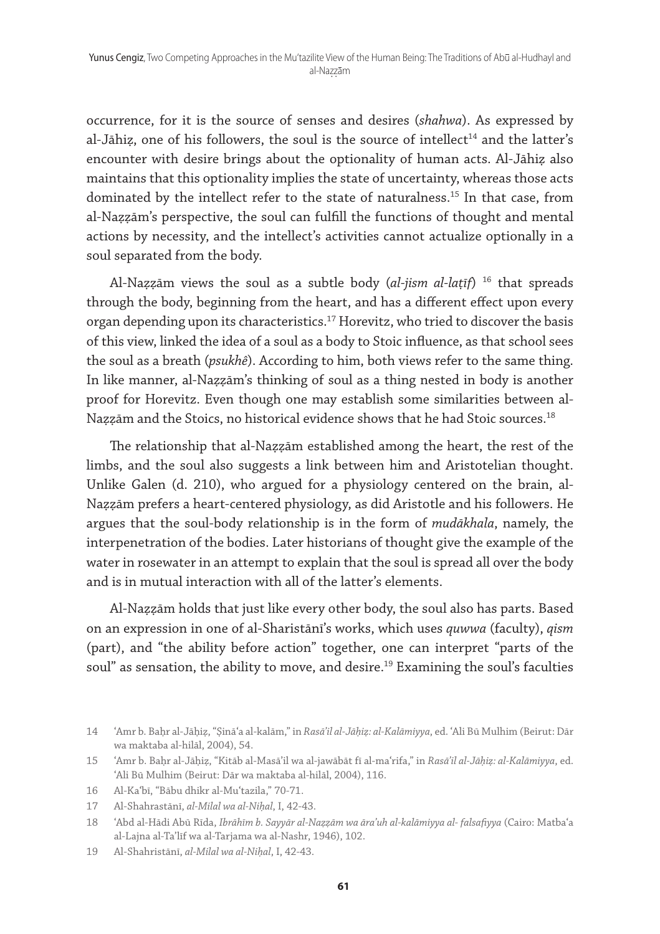occurrence, for it is the source of senses and desires (*shahwa*). As expressed by al-Jāhiz, one of his followers, the soul is the source of intellect<sup>14</sup> and the latter's encounter with desire brings about the optionality of human acts. Al-Jāhiẓ also maintains that this optionality implies the state of uncertainty, whereas those acts dominated by the intellect refer to the state of naturalness.<sup>15</sup> In that case, from al-Naẓẓām's perspective, the soul can fulfill the functions of thought and mental actions by necessity, and the intellect's activities cannot actualize optionally in a soul separated from the body.

Al-Naẓẓām views the soul as a subtle body (*al-jism al-laṭīf*) 16 that spreads through the body, beginning from the heart, and has a different effect upon every organ depending upon its characteristics.<sup>17</sup> Horevitz, who tried to discover the basis of this view, linked the idea of a soul as a body to Stoic influence, as that school sees the soul as a breath (*psukhê*). According to him, both views refer to the same thing. In like manner, al-Naẓẓām's thinking of soul as a thing nested in body is another proof for Horevitz. Even though one may establish some similarities between al-Nazzām and the Stoics, no historical evidence shows that he had Stoic sources.<sup>18</sup>

The relationship that al-Naẓẓām established among the heart, the rest of the limbs, and the soul also suggests a link between him and Aristotelian thought. Unlike Galen (d. 210), who argued for a physiology centered on the brain, al-Naẓẓām prefers a heart-centered physiology, as did Aristotle and his followers. He argues that the soul-body relationship is in the form of *mudākhala*, namely, the interpenetration of the bodies. Later historians of thought give the example of the water in rosewater in an attempt to explain that the soul is spread all over the body and is in mutual interaction with all of the latter's elements.

Al-Naẓẓām holds that just like every other body, the soul also has parts. Based on an expression in one of al-Sharistānī's works, which uses *quwwa* (faculty), *qism* (part), and "the ability before action" together, one can interpret "parts of the soul" as sensation, the ability to move, and desire.<sup>19</sup> Examining the soul's faculties

<sup>14</sup> ʿAmr b. Baḥr al-Jāḥiẓ, "Ṣināʿa al-kalām," in *Rasāʾil al-Jāḥiẓ: al-Kalāmiyya*, ed. ʿAli Bū Mulhim (Beirut: Dār wa maktaba al-hilāl, 2004), 54.

<sup>15</sup> ʿAmr b. Baḥr al-Jāḥiẓ, "Kitāb al-Masā'il wa al-jawābāt fī al-maʿrifa," in *Rasāʾil al-Jāḥiẓ: al-Kalāmiyya*, ed. ʿAli Bū Mulhim (Beirut: Dār wa maktaba al-hilāl, 2004), 116.

<sup>16</sup> Al-Kaʿbī, "Bābu dhikr al-Muʿtazila," 70-71.

<sup>17</sup> Al-Shahrastānī, *al-Milal wa al-Niḥal*, I, 42-43.

<sup>18</sup> ʿAbd al-Hādi Abū Rīda, *Ibrāhīm b. Sayyār al-Naẓẓām wa āraʾuh al-kalāmiyya al- falsafiyya* (Cairo: Matbaʿa al-Lajna al-Ta'līf wa al-Tarjama wa al-Nashr, 1946), 102.

<sup>19</sup> Al-Shahristānī, *al-Milal wa al-Niḥal*, I, 42-43.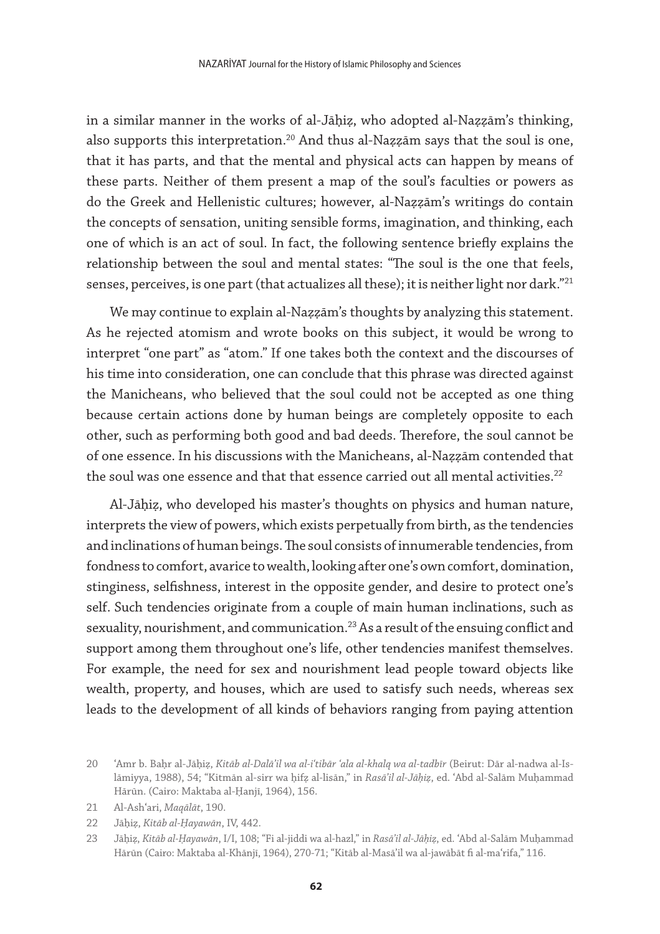in a similar manner in the works of al-Jāḥiẓ, who adopted al-Naẓẓām's thinking, also supports this interpretation.<sup>20</sup> And thus al-Nazzam says that the soul is one, that it has parts, and that the mental and physical acts can happen by means of these parts. Neither of them present a map of the soul's faculties or powers as do the Greek and Hellenistic cultures; however, al-Naẓẓām's writings do contain the concepts of sensation, uniting sensible forms, imagination, and thinking, each one of which is an act of soul. In fact, the following sentence briefly explains the relationship between the soul and mental states: "The soul is the one that feels, senses, perceives, is one part (that actualizes all these); it is neither light nor dark."<sup>21</sup>

We may continue to explain al-Naẓẓām's thoughts by analyzing this statement. As he rejected atomism and wrote books on this subject, it would be wrong to interpret "one part" as "atom." If one takes both the context and the discourses of his time into consideration, one can conclude that this phrase was directed against the Manicheans, who believed that the soul could not be accepted as one thing because certain actions done by human beings are completely opposite to each other, such as performing both good and bad deeds. Therefore, the soul cannot be of one essence. In his discussions with the Manicheans, al-Naẓẓām contended that the soul was one essence and that that essence carried out all mental activities.<sup>22</sup>

Al-Jāḥiẓ, who developed his master's thoughts on physics and human nature, interprets the view of powers, which exists perpetually from birth, as the tendencies and inclinations of human beings. The soul consists of innumerable tendencies, from fondness to comfort, avarice to wealth, looking after one's own comfort, domination, stinginess, selfishness, interest in the opposite gender, and desire to protect one's self. Such tendencies originate from a couple of main human inclinations, such as sexuality, nourishment, and communication.<sup>23</sup> As a result of the ensuing conflict and support among them throughout one's life, other tendencies manifest themselves. For example, the need for sex and nourishment lead people toward objects like wealth, property, and houses, which are used to satisfy such needs, whereas sex leads to the development of all kinds of behaviors ranging from paying attention

<sup>20</sup> ʿAmr b. Baḥr al-Jāḥiẓ, *Kitāb al-Dalā'il wa al-iʿtibār ʿala al-khalq wa al-tadbīr* (Beirut: Dār al-nadwa al-Islāmiyya, 1988), 54; "Kitmān al-sirr wa ḥifẓ al-lisān," in *Rasāʾil al-Jāḥiẓ*, ed. ʿAbd al-Salām Muḥammad Hārūn. (Cairo: Maktaba al-Ḥanjī, 1964), 156.

<sup>21</sup> Al-Ashʿari, *Maqālāt*, 190.

<sup>22</sup> Jāḥiẓ, *Kitāb al-Ḥayawān*, IV, 442.

<sup>23</sup> Jāḥiẓ, *Kitāb al-Ḥayawān*, I/I, 108; "Fi al-jiddi wa al-hazl," in *Rasāʾil al-Jāḥiẓ*, ed. ʿAbd al-Salām Muḥammad Hārūn (Cairo: Maktaba al-Khānjī, 1964), 270-71; "Kitāb al-Masā'il wa al-jawābāt fi al-maʿrifa," 116.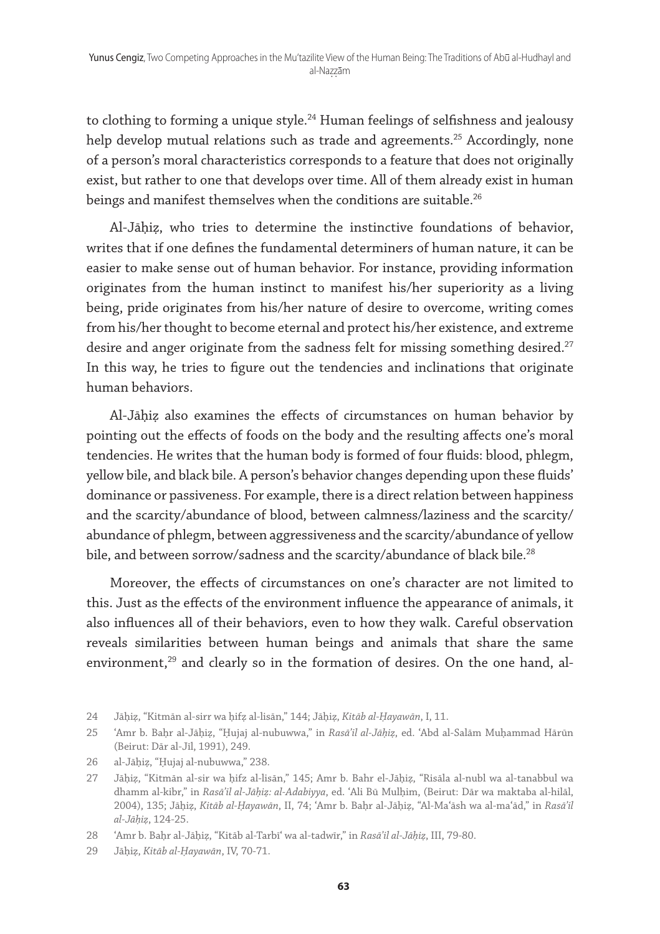to clothing to forming a unique style.<sup>24</sup> Human feelings of selfishness and jealousy help develop mutual relations such as trade and agreements.<sup>25</sup> Accordingly, none of a person's moral characteristics corresponds to a feature that does not originally exist, but rather to one that develops over time. All of them already exist in human beings and manifest themselves when the conditions are suitable.<sup>26</sup>

Al-Jāḥiẓ, who tries to determine the instinctive foundations of behavior, writes that if one defines the fundamental determiners of human nature, it can be easier to make sense out of human behavior. For instance, providing information originates from the human instinct to manifest his/her superiority as a living being, pride originates from his/her nature of desire to overcome, writing comes from his/her thought to become eternal and protect his/her existence, and extreme desire and anger originate from the sadness felt for missing something desired.<sup>27</sup> In this way, he tries to figure out the tendencies and inclinations that originate human behaviors.

Al-Jāḥiẓ also examines the effects of circumstances on human behavior by pointing out the effects of foods on the body and the resulting affects one's moral tendencies. He writes that the human body is formed of four fluids: blood, phlegm, yellow bile, and black bile. A person's behavior changes depending upon these fluids' dominance or passiveness. For example, there is a direct relation between happiness and the scarcity/abundance of blood, between calmness/laziness and the scarcity/ abundance of phlegm, between aggressiveness and the scarcity/abundance of yellow bile, and between sorrow/sadness and the scarcity/abundance of black bile.<sup>28</sup>

Moreover, the effects of circumstances on one's character are not limited to this. Just as the effects of the environment influence the appearance of animals, it also influences all of their behaviors, even to how they walk. Careful observation reveals similarities between human beings and animals that share the same environment, $29$  and clearly so in the formation of desires. On the one hand, al-

<sup>24</sup> Jāḥiẓ, "Kitmān al-sirr wa ḥifẓ al-lisān," 144; Jāḥiẓ, *Kitāb al-Ḥayawān*, I, 11.

<sup>25</sup> ʿAmr b. Baḥr al-Jāḥiẓ, "Ḥujaj al-nubuwwa," in *Rasāʾil al-Jāḥiẓ*, ed. ʿAbd al-Salām Muḥammad Hārūn (Beirut: Dār al-Jīl, 1991), 249.

<sup>26</sup> al-Jāḥiẓ, "Ḥujaj al-nubuwwa," 238.

<sup>27</sup> Jāḥiẓ, "Kitmān al-sir wa ḥifz al-lisān," 145; Amr b. Bahr el-Jāḥiẓ, "Risāla al-nubl wa al-tanabbul wa dhamm al-kibr," in *Rasāʾil al-Jāḥiẓ: al-Adabiyya*, ed. ʿAli Bū Mulḥim, (Beirut: Dār wa maktaba al-hilāl, 2004), 135; Jāḥiẓ, *Kitāb al-Ḥayawān*, II, 74; ʿAmr b. Baḥr al-Jāḥiẓ, "Al-Maʿāsh wa al-maʿād," in *Rasāʾil al-Jāḥiẓ*, 124-25.

<sup>28</sup> ʿAmr b. Baḥr al-Jāḥiẓ, "Kitāb al-Tarbīʿ wa al-tadwīr," in *Rasāʾil al-Jāḥiẓ*, III, 79-80.

<sup>29</sup> Jāḥiẓ, *Kitāb al-Ḥayawān*, IV, 70-71.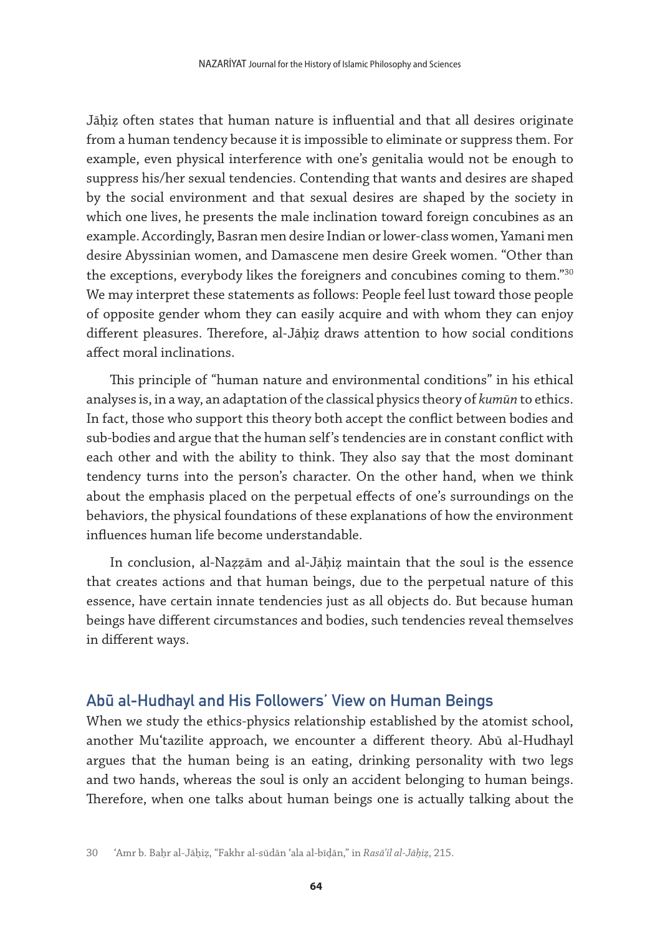Jāḥiẓ often states that human nature is influential and that all desires originate from a human tendency because it is impossible to eliminate or suppress them. For example, even physical interference with one's genitalia would not be enough to suppress his/her sexual tendencies. Contending that wants and desires are shaped by the social environment and that sexual desires are shaped by the society in which one lives, he presents the male inclination toward foreign concubines as an example. Accordingly, Basran men desire Indian or lower-class women, Yamani men desire Abyssinian women, and Damascene men desire Greek women. "Other than the exceptions, everybody likes the foreigners and concubines coming to them."30 We may interpret these statements as follows: People feel lust toward those people of opposite gender whom they can easily acquire and with whom they can enjoy different pleasures. Therefore, al-Jāḥiẓ draws attention to how social conditions affect moral inclinations.

This principle of "human nature and environmental conditions" in his ethical analyses is, in a way, an adaptation of the classical physics theory of *kumūn* to ethics. In fact, those who support this theory both accept the conflict between bodies and sub-bodies and argue that the human self's tendencies are in constant conflict with each other and with the ability to think. They also say that the most dominant tendency turns into the person's character. On the other hand, when we think about the emphasis placed on the perpetual effects of one's surroundings on the behaviors, the physical foundations of these explanations of how the environment influences human life become understandable.

In conclusion, al-Naẓẓām and al-Jāḥiẓ maintain that the soul is the essence that creates actions and that human beings, due to the perpetual nature of this essence, have certain innate tendencies just as all objects do. But because human beings have different circumstances and bodies, such tendencies reveal themselves in different ways.

#### Abū al-Hudhayl and His Followers' View on Human Beings

When we study the ethics-physics relationship established by the atomist school, another Muʿtazilite approach, we encounter a different theory. Abū al-Hudhayl argues that the human being is an eating, drinking personality with two legs and two hands, whereas the soul is only an accident belonging to human beings. Therefore, when one talks about human beings one is actually talking about the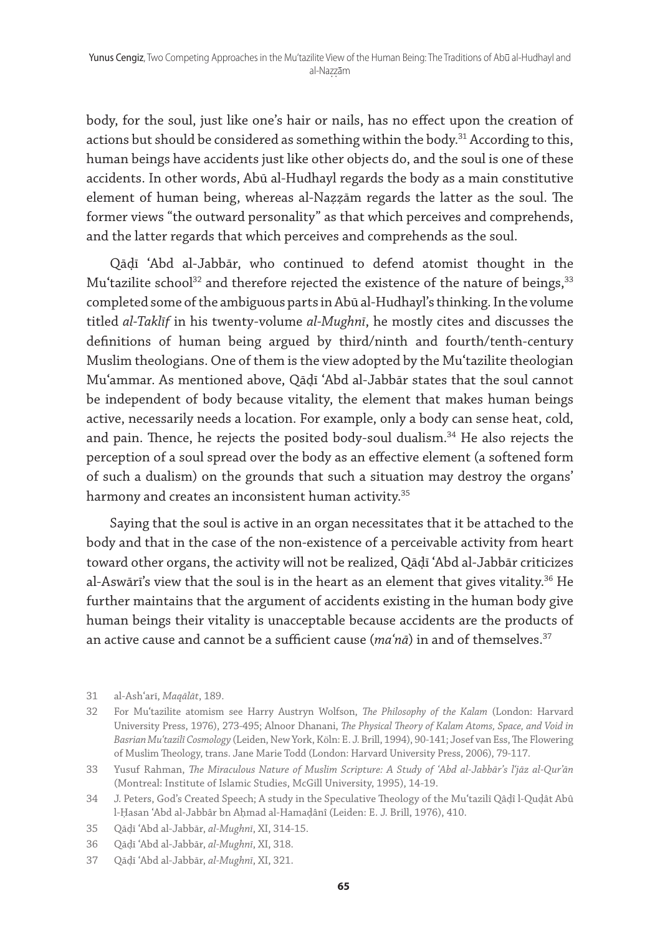body, for the soul, just like one's hair or nails, has no effect upon the creation of actions but should be considered as something within the body. $31$  According to this, human beings have accidents just like other objects do, and the soul is one of these accidents. In other words, Abū al-Hudhayl regards the body as a main constitutive element of human being, whereas al-Naẓẓām regards the latter as the soul. The former views "the outward personality" as that which perceives and comprehends, and the latter regards that which perceives and comprehends as the soul.

Qāḍī ʿAbd al-Jabbār, who continued to defend atomist thought in the Mu'tazilite school<sup>32</sup> and therefore rejected the existence of the nature of beings,<sup>33</sup> completed some of the ambiguous parts in Abū al-Hudhayl's thinking. In the volume titled *al-Taklīf* in his twenty-volume *al-Mughnī*, he mostly cites and discusses the definitions of human being argued by third/ninth and fourth/tenth-century Muslim theologians. One of them is the view adopted by the Muʿtazilite theologian Muʿammar. As mentioned above, Qāḍī ʿAbd al-Jabbār states that the soul cannot be independent of body because vitality, the element that makes human beings active, necessarily needs a location. For example, only a body can sense heat, cold, and pain. Thence, he rejects the posited body-soul dualism.<sup>34</sup> He also rejects the perception of a soul spread over the body as an effective element (a softened form of such a dualism) on the grounds that such a situation may destroy the organs' harmony and creates an inconsistent human activity.<sup>35</sup>

Saying that the soul is active in an organ necessitates that it be attached to the body and that in the case of the non-existence of a perceivable activity from heart toward other organs, the activity will not be realized, Qāḍī ʿAbd al-Jabbār criticizes al-Aswārī's view that the soul is in the heart as an element that gives vitality.<sup>36</sup> He further maintains that the argument of accidents existing in the human body give human beings their vitality is unacceptable because accidents are the products of an active cause and cannot be a sufficient cause (*maʿnā*) in and of themselves.37

<sup>31</sup> al-Ashʿarī, *Maqālāt*, 189.

<sup>32</sup> For Muʿtazilite atomism see Harry Austryn Wolfson, *The Philosophy of the Kalam* (London: Harvard University Press, 1976), 273-495; Alnoor Dhanani, *The Physical Theory of Kalam Atoms, Space, and Void in Basrian Muʿtazilî Cosmology* (Leiden, New York, Köln: E. J. Brill, 1994), 90-141; Josef van Ess, The Flowering of Muslim Theology, trans. Jane Marie Todd (London: Harvard University Press, 2006), 79-117.

<sup>33</sup> Yusuf Rahman, *The Miraculous Nature of Muslim Scripture: A Study of ʿAbd al-Jabbār's lʿjāz al-Qur'ān* (Montreal: Institute of Islamic Studies, McGill University, 1995), 14-19.

<sup>34</sup> J. Peters, God's Created Speech; A study in the Speculative Theology of the Muʿtazilî Qâḍî l-Quḍât Abû l-Ḥasan ʿAbd al-Jabbâr bn Aḥmad al-Hamadânî (Leiden: E. J. Brill, 1976), 410.

<sup>35</sup> Qāḍī ʿAbd al-Jabbār, *al-Mughnī*, XI, 314-15.

<sup>36</sup> Qāḍī ʿAbd al-Jabbār, *al-Mughnī*, XI, 318.

<sup>37</sup> Qāḍī ʿAbd al-Jabbār, *al-Mughnī*, XI, 321.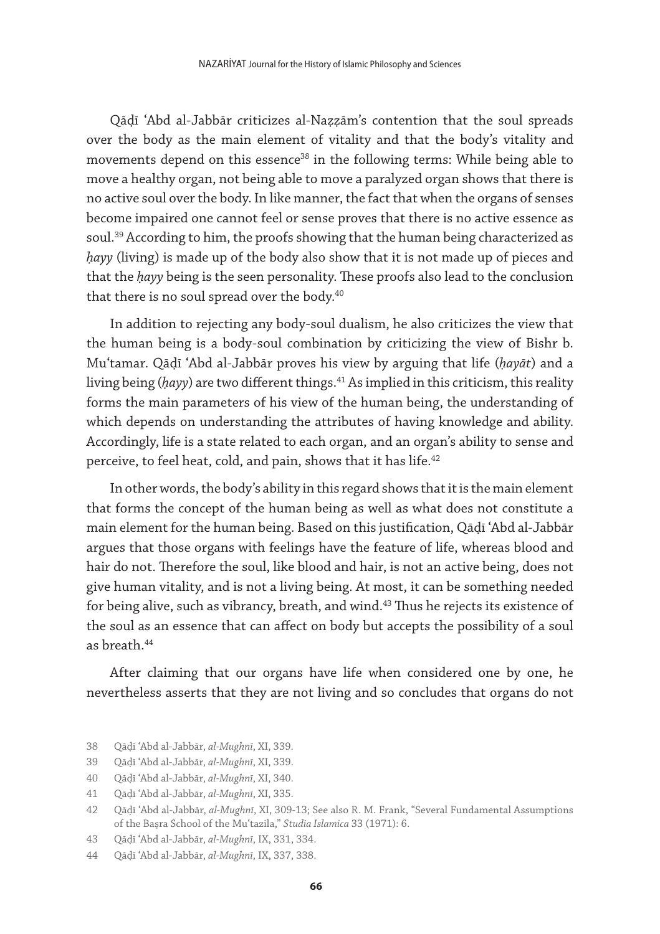Qāḍī ʿAbd al-Jabbār criticizes al-Naẓẓām's contention that the soul spreads over the body as the main element of vitality and that the body's vitality and movements depend on this essence<sup>38</sup> in the following terms: While being able to move a healthy organ, not being able to move a paralyzed organ shows that there is no active soul over the body. In like manner, the fact that when the organs of senses become impaired one cannot feel or sense proves that there is no active essence as soul.<sup>39</sup> According to him, the proofs showing that the human being characterized as *ḥayy* (living) is made up of the body also show that it is not made up of pieces and that the *ḥayy* being is the seen personality. These proofs also lead to the conclusion that there is no soul spread over the body.<sup>40</sup>

In addition to rejecting any body-soul dualism, he also criticizes the view that the human being is a body-soul combination by criticizing the view of Bishr b. Muʿtamar. Qāḍī ʿAbd al-Jabbār proves his view by arguing that life (*ḥayāt*) and a living being (*ḥayy*) are two different things.41 As implied in this criticism, this reality forms the main parameters of his view of the human being, the understanding of which depends on understanding the attributes of having knowledge and ability. Accordingly, life is a state related to each organ, and an organ's ability to sense and perceive, to feel heat, cold, and pain, shows that it has life.<sup>42</sup>

In other words, the body's ability in this regard shows that it is the main element that forms the concept of the human being as well as what does not constitute a main element for the human being. Based on this justification, Qāḍī ʿAbd al-Jabbār argues that those organs with feelings have the feature of life, whereas blood and hair do not. Therefore the soul, like blood and hair, is not an active being, does not give human vitality, and is not a living being. At most, it can be something needed for being alive, such as vibrancy, breath, and wind.<sup>43</sup> Thus he rejects its existence of the soul as an essence that can affect on body but accepts the possibility of a soul as  $h$ reath  $44$ 

After claiming that our organs have life when considered one by one, he nevertheless asserts that they are not living and so concludes that organs do not

<sup>38</sup> Qāḍī ʿAbd al-Jabbār, *al-Mughnī*, XI, 339.

<sup>39</sup> Qāḍī ʿAbd al-Jabbār, *al-Mughnī*, XI, 339.

<sup>40</sup> Qāḍī ʿAbd al-Jabbār, *al-Mughnī*, XI, 340.

<sup>41</sup> Qāḍī ʿAbd al-Jabbār, *al-Mughnī*, XI, 335.

<sup>42</sup> Qāḍī ʿAbd al-Jabbār, *al-Mughnī*, XI, 309-13; See also R. M. Frank, "Several Fundamental Assumptions of the Baṣra School of the Muʿtazila," *Studia Islamica* 33 (1971): 6.

<sup>43</sup> Qāḍī ʿAbd al-Jabbār, *al-Mughnī*, IX, 331, 334.

<sup>44</sup> Qāḍī ʿAbd al-Jabbār, *al-Mughnī*, IX, 337, 338.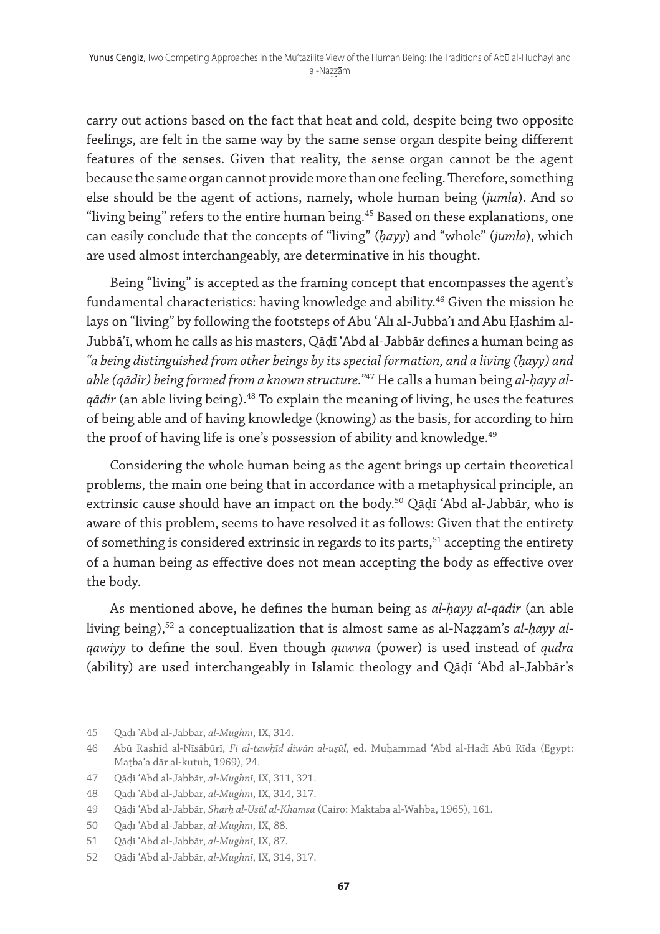carry out actions based on the fact that heat and cold, despite being two opposite feelings, are felt in the same way by the same sense organ despite being different features of the senses. Given that reality, the sense organ cannot be the agent because the same organ cannot provide more than one feeling. Therefore, something else should be the agent of actions, namely, whole human being (*jumla*). And so "living being" refers to the entire human being.<sup>45</sup> Based on these explanations, one can easily conclude that the concepts of "living" (*ḥayy*) and "whole" (*jumla*), which are used almost interchangeably, are determinative in his thought.

Being "living" is accepted as the framing concept that encompasses the agent's fundamental characteristics: having knowledge and ability.46 Given the mission he lays on "living" by following the footsteps of Abū ʿAlī al-Jubbāʾī and Abū Ḥāshim al-Jubbāʾī, whom he calls as his masters, Qāḍī ʿAbd al-Jabbār defines a human being as *"a being distinguished from other beings by its special formation, and a living (ḥayy) and able (qādir) being formed from a known structure."*47 He calls a human being *al-ḥayy alqādir* (an able living being).48 To explain the meaning of living, he uses the features of being able and of having knowledge (knowing) as the basis, for according to him the proof of having life is one's possession of ability and knowledge.<sup>49</sup>

Considering the whole human being as the agent brings up certain theoretical problems, the main one being that in accordance with a metaphysical principle, an extrinsic cause should have an impact on the body.50 Qāḍī ʿAbd al-Jabbār, who is aware of this problem, seems to have resolved it as follows: Given that the entirety of something is considered extrinsic in regards to its parts, $51$  accepting the entirety of a human being as effective does not mean accepting the body as effective over the body.

As mentioned above, he defines the human being as *al-ḥayy al-qādir* (an able living being),52 a conceptualization that is almost same as al-Naẓẓām's *al-ḥayy alqawiyy* to define the soul. Even though *quwwa* (power) is used instead of *qudra* (ability) are used interchangeably in Islamic theology and Qāḍī ʿAbd al-Jabbār's

<sup>45</sup> Qāḍī ʿAbd al-Jabbār, *al-Mughnī*, IX, 314.

<sup>46</sup> Abū Rashīd al-Nīsābūrī, *Fi al-tawḥīd diwān al-uṣūl*, ed. Muḥammad ʿAbd al-Hadī Abū Rīda (Egypt: Maṭbaʿa dār al-kutub, 1969), 24.

<sup>47</sup> Qāḍī ʿAbd al-Jabbār, *al-Mughnī*, IX, 311, 321.

<sup>48</sup> Qāḍī ʿAbd al-Jabbār, *al-Mughnī*, IX, 314, 317.

<sup>49</sup> Qāḍī ʿAbd al-Jabbār, *Sharḥ al-Usūl al-Khamsa* (Cairo: Maktaba al-Wahba, 1965), 161.

<sup>50</sup> Qāḍī ʿAbd al-Jabbār, *al-Mughnī*, IX, 88.

<sup>51</sup> Qāḍī ʿAbd al-Jabbār, *al-Mughnī*, IX, 87.

<sup>52</sup> Qāḍī ʿAbd al-Jabbār, *al-Mughnī*, IX, 314, 317.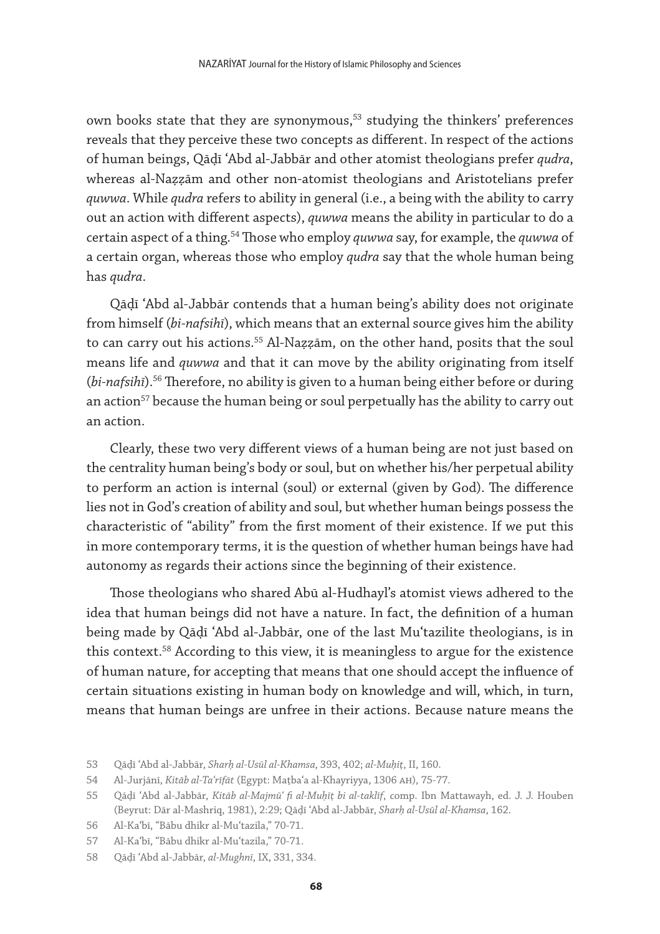own books state that they are synonymous,<sup>53</sup> studying the thinkers' preferences reveals that they perceive these two concepts as different. In respect of the actions of human beings, Qāḍī ʿAbd al-Jabbār and other atomist theologians prefer *qudra*, whereas al-Naẓẓām and other non-atomist theologians and Aristotelians prefer *quwwa*. While *qudra* refers to ability in general (i.e., a being with the ability to carry out an action with different aspects), *quwwa* means the ability in particular to do a certain aspect of a thing.54 Those who employ *quwwa* say, for example, the *quwwa* of a certain organ, whereas those who employ *qudra* say that the whole human being has *qudra*.

Qāḍī ʿAbd al-Jabbār contends that a human being's ability does not originate from himself (*bi-nafsihī*), which means that an external source gives him the ability to can carry out his actions.<sup>55</sup> Al-Nazzām, on the other hand, posits that the soul means life and *quwwa* and that it can move by the ability originating from itself (*bi-nafsihī*).56 Therefore, no ability is given to a human being either before or during an action<sup>57</sup> because the human being or soul perpetually has the ability to carry out an action.

Clearly, these two very different views of a human being are not just based on the centrality human being's body or soul, but on whether his/her perpetual ability to perform an action is internal (soul) or external (given by God). The difference lies not in God's creation of ability and soul, but whether human beings possess the characteristic of "ability" from the first moment of their existence. If we put this in more contemporary terms, it is the question of whether human beings have had autonomy as regards their actions since the beginning of their existence.

Those theologians who shared Abū al-Hudhayl's atomist views adhered to the idea that human beings did not have a nature. In fact, the definition of a human being made by Qāḍī ʿAbd al-Jabbār, one of the last Muʿtazilite theologians, is in this context.<sup>58</sup> According to this view, it is meaningless to argue for the existence of human nature, for accepting that means that one should accept the influence of certain situations existing in human body on knowledge and will, which, in turn, means that human beings are unfree in their actions. Because nature means the

<sup>53</sup> Qāḍī ʿAbd al-Jabbār, *Sharḥ al-Usūl al-Khamsa*, 393, 402; *al-Muḥiṭ*, II, 160.

<sup>54</sup> Al-Jurjānī, *Kitāb al-Taʿrīfāt* (Egypt: Maṭbaʿa al-Khayriyya, 1306 ah), 75-77.

<sup>55</sup> Qāḍī ʿAbd al-Jabbār, *Kitāb al-Majmūʿ fi al-Muḥīṭ bi al-taklīf*, comp. Ibn Mattawayh, ed. J. J. Houben (Beyrut: Dār al-Mashriq, 1981), 2:29; Qāḍī ʿAbd al-Jabbār, *Sharḥ al-Usūl al-Khamsa*, 162.

<sup>56</sup> Al-Kaʿbī, "Bābu dhikr al-Muʿtazila," 70-71.

<sup>57</sup> Al-Kaʿbī, "Bābu dhikr al-Muʿtazila," 70-71.

<sup>58</sup> Qāḍī ʿAbd al-Jabbār, *al-Mughnī*, IX, 331, 334.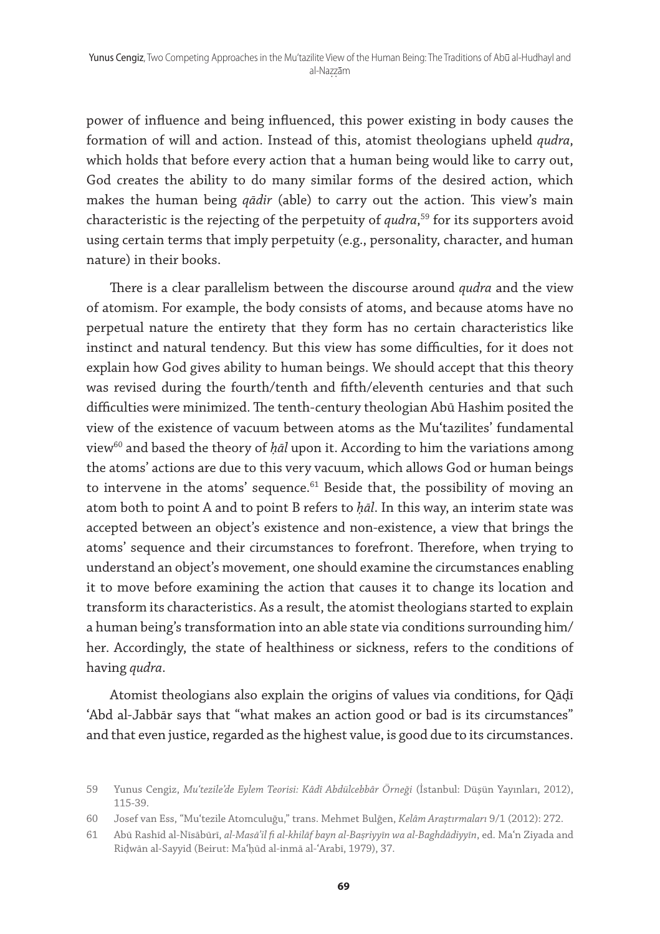power of influence and being influenced, this power existing in body causes the formation of will and action. Instead of this, atomist theologians upheld *qudra*, which holds that before every action that a human being would like to carry out, God creates the ability to do many similar forms of the desired action, which makes the human being *qādir* (able) to carry out the action. This view's main characteristic is the rejecting of the perpetuity of *qudra*, 59 for its supporters avoid using certain terms that imply perpetuity (e.g., personality, character, and human nature) in their books.

There is a clear parallelism between the discourse around *qudra* and the view of atomism. For example, the body consists of atoms, and because atoms have no perpetual nature the entirety that they form has no certain characteristics like instinct and natural tendency. But this view has some difficulties, for it does not explain how God gives ability to human beings. We should accept that this theory was revised during the fourth/tenth and fifth/eleventh centuries and that such difficulties were minimized. The tenth-century theologian Abū Hashim posited the view of the existence of vacuum between atoms as the Muʿtazilites' fundamental view<sup>60</sup> and based the theory of *ḥāl* upon it. According to him the variations among the atoms' actions are due to this very vacuum, which allows God or human beings to intervene in the atoms' sequence. $61$  Beside that, the possibility of moving an atom both to point A and to point B refers to *ḥāl*. In this way, an interim state was accepted between an object's existence and non-existence, a view that brings the atoms' sequence and their circumstances to forefront. Therefore, when trying to understand an object's movement, one should examine the circumstances enabling it to move before examining the action that causes it to change its location and transform its characteristics. As a result, the atomist theologians started to explain a human being's transformation into an able state via conditions surrounding him/ her. Accordingly, the state of healthiness or sickness, refers to the conditions of having *qudra*.

Atomist theologians also explain the origins of values via conditions, for Qāḍī ʿAbd al-Jabbār says that "what makes an action good or bad is its circumstances" and that even justice, regarded as the highest value, is good due to its circumstances.

<sup>59</sup> Yunus Cengiz, *Muʿtezile'de Eylem Teorisi: Kâdî Abdülcebbâr Örneği* (İstanbul: Düşün Yayınları, 2012), 115-39.

<sup>60</sup> Josef van Ess, "Muʿtezile Atomculuğu," trans. Mehmet Bulğen, *Kelâm Araştırmaları* 9/1 (2012): 272.

<sup>61</sup> Abū Rashīd al-Nīsābūrī, *al-Masā'il fi al-khilāf bayn al-Baṣriyyīn wa al-Baghdādiyyīn*, ed. Maʿn Ziyada and Riḍwān al-Sayyid (Beirut: Maʿḥūd al-inmā al-ʿArabī, 1979), 37.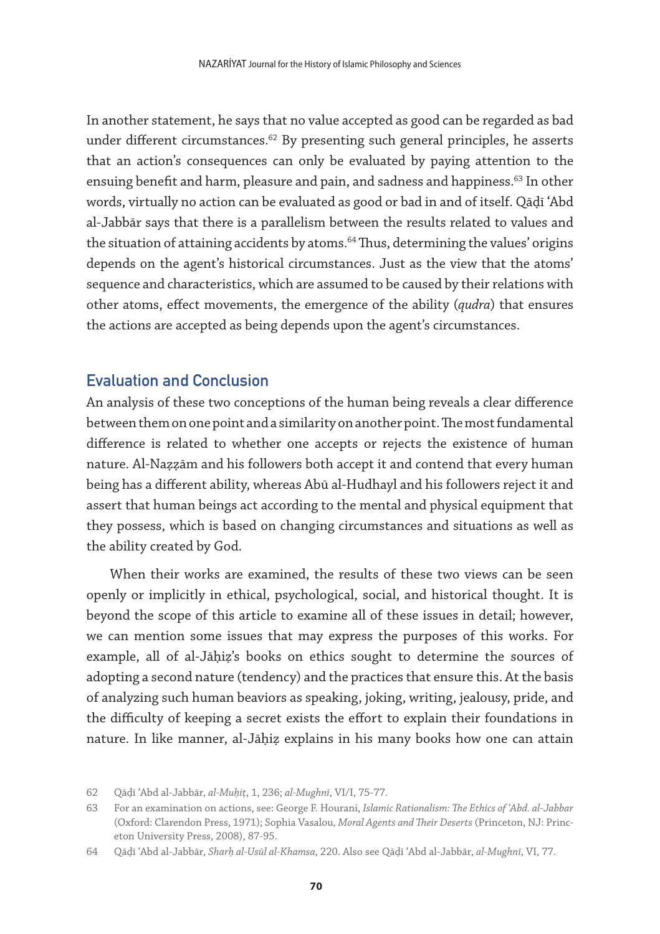In another statement, he says that no value accepted as good can be regarded as bad under different circumstances.<sup>62</sup> By presenting such general principles, he asserts that an action's consequences can only be evaluated by paying attention to the ensuing benefit and harm, pleasure and pain, and sadness and happiness.<sup>63</sup> In other words, virtually no action can be evaluated as good or bad in and of itself. Qāḍī ʿAbd al-Jabbār says that there is a parallelism between the results related to values and the situation of attaining accidents by atoms.<sup>64</sup> Thus, determining the values' origins depends on the agent's historical circumstances. Just as the view that the atoms' sequence and characteristics, which are assumed to be caused by their relations with other atoms, effect movements, the emergence of the ability (*qudra*) that ensures the actions are accepted as being depends upon the agent's circumstances.

## Evaluation and Conclusion

An analysis of these two conceptions of the human being reveals a clear difference between them on one point and a similarity on another point. The most fundamental difference is related to whether one accepts or rejects the existence of human nature. Al-Naẓẓām and his followers both accept it and contend that every human being has a different ability, whereas Abū al-Hudhayl and his followers reject it and assert that human beings act according to the mental and physical equipment that they possess, which is based on changing circumstances and situations as well as the ability created by God.

When their works are examined, the results of these two views can be seen openly or implicitly in ethical, psychological, social, and historical thought. It is beyond the scope of this article to examine all of these issues in detail; however, we can mention some issues that may express the purposes of this works. For example, all of al-Jāḥiẓ's books on ethics sought to determine the sources of adopting a second nature (tendency) and the practices that ensure this. At the basis of analyzing such human beaviors as speaking, joking, writing, jealousy, pride, and the difficulty of keeping a secret exists the effort to explain their foundations in nature. In like manner, al-Jāḥiẓ explains in his many books how one can attain

<sup>62</sup> Qāḍī ʿAbd al-Jabbār, *al-Muḥiṭ*, 1, 236; *al-Mughnī*, VI/I, 75-77.

<sup>63</sup> For an examination on actions, see: George F. Hourani, *Islamic Rationalism: The Ethics of ʿAbd. al-Jabbar* (Oxford: Clarendon Press, 1971); Sophia Vasalou, *Moral Agents and Their Deserts* (Princeton, NJ: Princeton University Press, 2008), 87-95.

<sup>64</sup> Qāḍī ʿAbd al-Jabbār, *Sharḥ al-Usūl al-Khamsa*, 220. Also see Qāḍī ʿAbd al-Jabbār, *al-Mughnī*, VI, 77.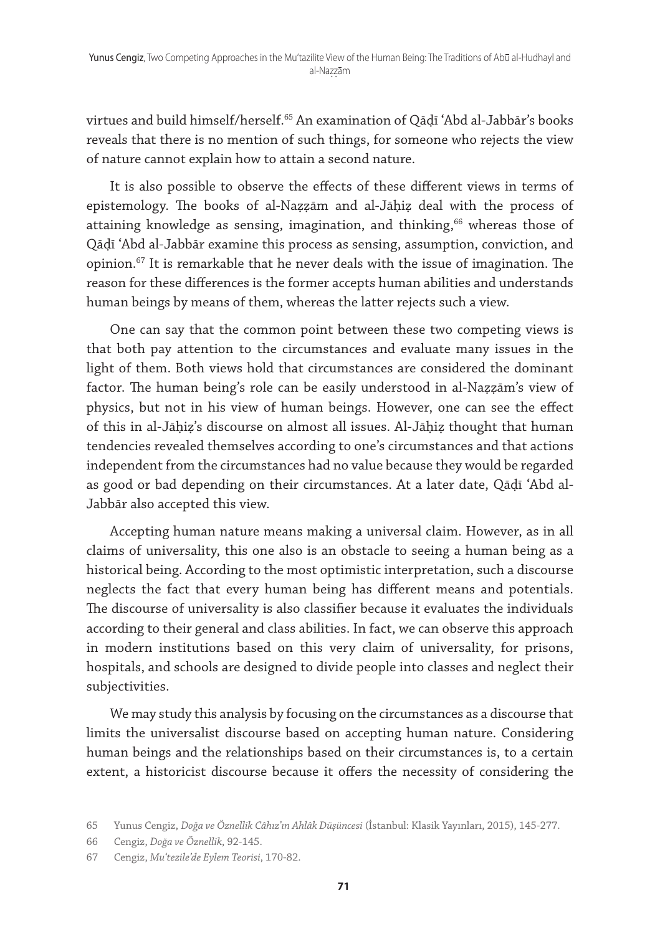virtues and build himself/herself.65 An examination of Qāḍī ʿAbd al-Jabbār's books reveals that there is no mention of such things, for someone who rejects the view of nature cannot explain how to attain a second nature.

It is also possible to observe the effects of these different views in terms of epistemology. The books of al-Naẓẓām and al-Jāḥiẓ deal with the process of attaining knowledge as sensing, imagination, and thinking, $66$  whereas those of Qāḍī ʿAbd al-Jabbār examine this process as sensing, assumption, conviction, and opinion. $67$  It is remarkable that he never deals with the issue of imagination. The reason for these differences is the former accepts human abilities and understands human beings by means of them, whereas the latter rejects such a view.

One can say that the common point between these two competing views is that both pay attention to the circumstances and evaluate many issues in the light of them. Both views hold that circumstances are considered the dominant factor. The human being's role can be easily understood in al-Naẓẓām's view of physics, but not in his view of human beings. However, one can see the effect of this in al-Jāḥiẓ's discourse on almost all issues. Al-Jāḥiẓ thought that human tendencies revealed themselves according to one's circumstances and that actions independent from the circumstances had no value because they would be regarded as good or bad depending on their circumstances. At a later date, Qāḍī ʿAbd al-Jabbār also accepted this view.

Accepting human nature means making a universal claim. However, as in all claims of universality, this one also is an obstacle to seeing a human being as a historical being. According to the most optimistic interpretation, such a discourse neglects the fact that every human being has different means and potentials. The discourse of universality is also classifier because it evaluates the individuals according to their general and class abilities. In fact, we can observe this approach in modern institutions based on this very claim of universality, for prisons, hospitals, and schools are designed to divide people into classes and neglect their subjectivities.

We may study this analysis by focusing on the circumstances as a discourse that limits the universalist discourse based on accepting human nature. Considering human beings and the relationships based on their circumstances is, to a certain extent, a historicist discourse because it offers the necessity of considering the

<sup>65</sup> Yunus Cengiz, *Doğa ve Öznellik Câhız'ın Ahlâk Düşüncesi* (İstanbul: Klasik Yayınları, 2015), 145-277.

<sup>66</sup> Cengiz, *Doğa ve Öznellik*, 92-145.

<sup>67</sup> Cengiz, *Muʿtezile'de Eylem Teorisi*, 170-82.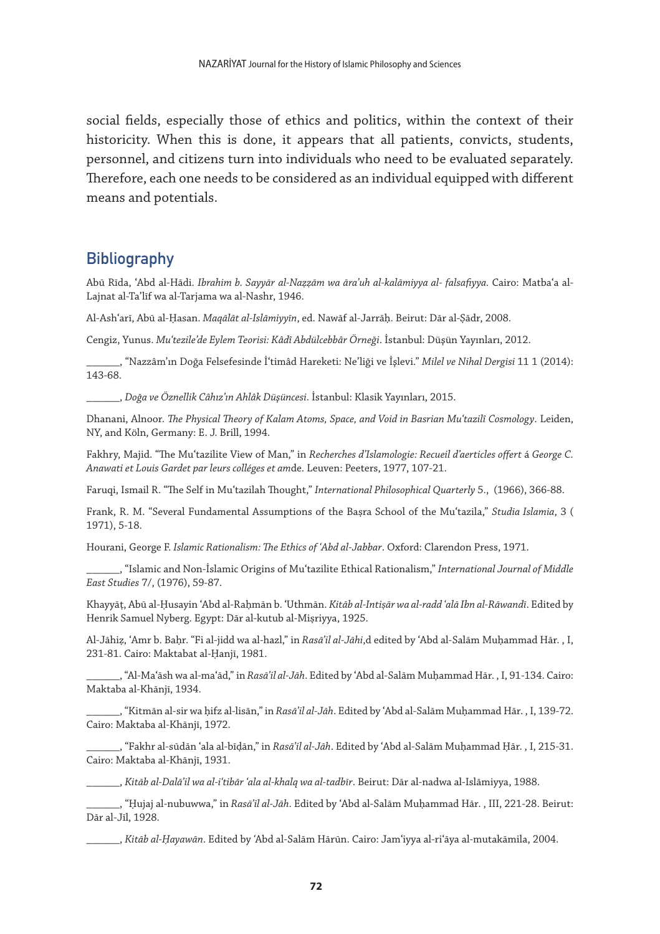social fields, especially those of ethics and politics, within the context of their historicity. When this is done, it appears that all patients, convicts, students, personnel, and citizens turn into individuals who need to be evaluated separately. Therefore, each one needs to be considered as an individual equipped with different means and potentials.

### **Bibliography**

Abū Rīda, ʿAbd al-Hādi. *Ibrahim b. Sayyār al-Naẓẓām wa āraʾuh al-kalāmiyya al- falsafiyya.* Cairo: Matbaʿa al-Lajnat al-Ta'līf wa al-Tarjama wa al-Nashr, 1946.

Al-Ashʿarī, Abū al-Ḥasan. *Maqālāt al-Islāmiyyīn*, ed. Nawāf al-Jarrāḥ. Beirut: Dār al-Ṣādr, 2008.

Cengiz, Yunus. *Muʿtezile'de Eylem Teorisi: Kâdî Abdülcebbâr Örneği*. İstanbul: Düşün Yayınları, 2012.

\_\_\_\_\_\_, "Nazzâm'ın Doğa Felsefesinde İʿtimâd Hareketi: Ne'liği ve İşlevi." *Milel ve Nihal Dergisi* 11 1 (2014): 143-68.

\_\_\_\_\_\_, *Doğa ve Öznellik Câhız'ın Ahlâk Düşüncesi*. İstanbul: Klasik Yayınları, 2015.

Dhanani, Alnoor. *The Physical Theory of Kalam Atoms, Space, and Void in Basrian Muʿtazilî Cosmology*. Leiden, NY, and Köln, Germany: E. J. Brill, 1994.

Fakhry, Majid. "The Muʿtazilite View of Man," in *Recherches d'Islamologie: Recueil d'aerticles offert* á *George C. Anawati et Louis Gardet par leurs colléges et am*de. Leuven: Peeters, 1977, 107-21.

Faruqi, Ismail R. "The Self in Muʿtazilah Thought," *International Philosophical Quarterly* 5., (1966), 366-88.

Frank, R. M. "Several Fundamental Assumptions of the Baṣra School of the Muʿtazila," *Studia Islamia*, 3 ( 1971), 5-18.

Hourani, George F. *Islamic Rationalism: The Ethics of ʿAbd al-Jabbar*. Oxford: Clarendon Press, 1971.

\_\_\_\_\_\_, "Islamic and Non-İslamic Origins of Muʿtazilite Ethical Rationalism," *International Journal of Middle East Studies* 7/, (1976), 59-87.

Khayyāṭ, Abū al-Ḥusayin ʿAbd al-Raḥmān b. ʿUthmān. *Kitāb al-Intiṣār wa al-radd ʿalā Ibn al-Rāwandī*. Edited by Henrik Samuel Nyberg. Egypt: Dār al-kutub al-Miṣriyya, 1925.

Al-Jāhiẓ, ʿAmr b. Baḥr. "Fi al-jidd wa al-hazl," in *Rasāʾil al-Jāhi*,d edited by ʿAbd al-Salām Muḥammad Hār. , I, 231-81. Cairo: Maktabat al-Ḥanjī, 1981.

\_\_\_\_\_\_,"Al-Maʿāsh wa al-maʿād," in *Rasāʾil al-Jāh*. Edited by ʿAbd al-Salām Muḥammad Hār. , I, 91-134. Cairo: Maktaba al-Khānjī, 1934.

\_\_\_\_\_\_, "Kitmān al-sir wa ḥifz al-lisān,"in *Rasāʾil al-Jāh*. Edited by ʿAbd al-Salām Muḥammad Hār. , I, 139-72. Cairo: Maktaba al-Khānjī, 1972.

\_\_\_\_\_\_, "Fakhr al-sūdān ʿala al-bīḍān," in *Rasāʾil al-Jāh*. Edited by ʿAbd al-Salām Muḥammad Ḥār. , I, 215-31. Cairo: Maktaba al-Khānjī, 1931.

\_\_\_\_\_\_, *Kitāb al-Dalāʾil wa al-iʿtibār ʿala al-khalq wa al-tadbīr*. Beirut: Dār al-nadwa al-Islāmiyya, 1988.

\_\_\_\_\_\_, "Ḥujaj al-nubuwwa," in *Rasāʾil al-Jāh*. Edited by ʿAbd al-Salām Muḥammad Hār. , III, 221-28. Beirut: Dār al-Jīl, 1928.

\_\_\_\_\_\_, *Kitāb al-Ḥayawān*. Edited by *ʿ*Abd al-Salām Hārūn. Cairo: Jamʿiyya al-riʿāya al-mutakāmila, 2004.